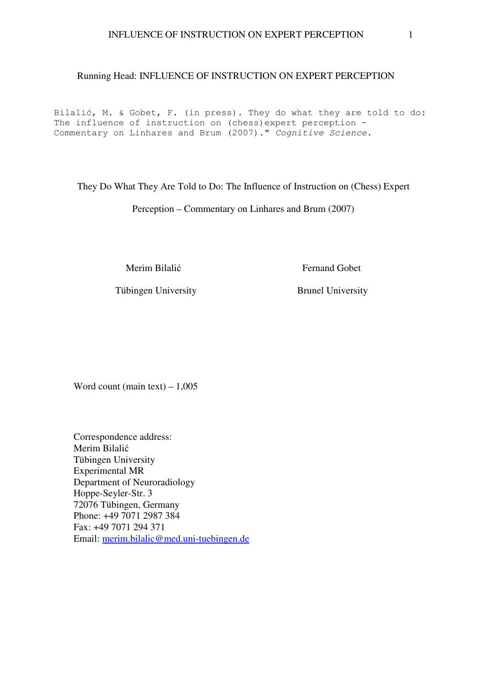# Running Head: INFLUENCE OF INSTRUCTION ON EXPERT PERCEPTION

Bilalić, M. & Gobet, F. (in press). They do what they are told to do: The influence of instruction on (chess)expert perception - Commentary on Linhares and Brum (2007)." *Cognitive Science*.

They Do What They Are Told to Do: The Influence of Instruction on (Chess) Expert

Perception – Commentary on Linhares and Brum (2007)

Merim Bilalić Fernand Gobet

Tübingen University Brunel University

Word count (main text)  $-1,005$ 

Correspondence address: Merim Bilalić Tübingen University Experimental MR Department of Neuroradiology Hoppe-Seyler-Str. 3 72076 Tübingen, Germany Phone: +49 7071 2987 384 Fax: +49 7071 294 371 Email: merim.bilalic@med.uni-tuebingen.de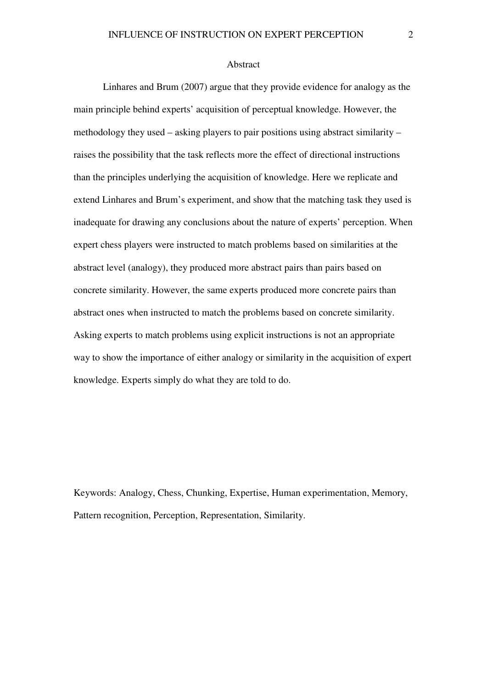#### Abstract

Linhares and Brum (2007) argue that they provide evidence for analogy as the main principle behind experts' acquisition of perceptual knowledge. However, the methodology they used – asking players to pair positions using abstract similarity – raises the possibility that the task reflects more the effect of directional instructions than the principles underlying the acquisition of knowledge. Here we replicate and extend Linhares and Brum's experiment, and show that the matching task they used is inadequate for drawing any conclusions about the nature of experts' perception. When expert chess players were instructed to match problems based on similarities at the abstract level (analogy), they produced more abstract pairs than pairs based on concrete similarity. However, the same experts produced more concrete pairs than abstract ones when instructed to match the problems based on concrete similarity. Asking experts to match problems using explicit instructions is not an appropriate way to show the importance of either analogy or similarity in the acquisition of expert knowledge. Experts simply do what they are told to do.

Keywords: Analogy, Chess, Chunking, Expertise, Human experimentation, Memory, Pattern recognition, Perception, Representation, Similarity.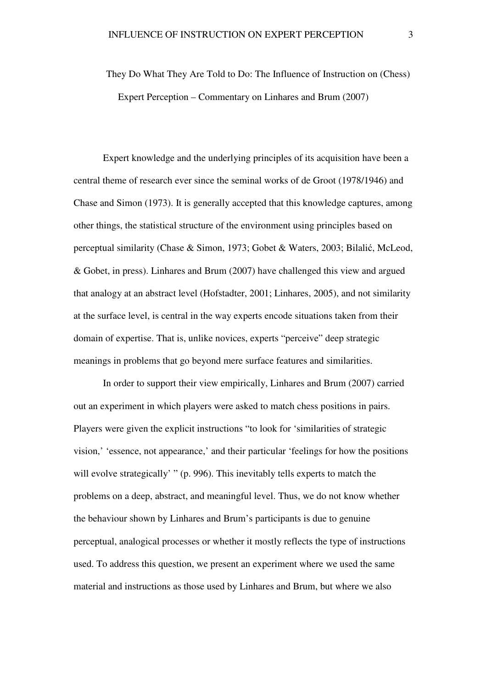They Do What They Are Told to Do: The Influence of Instruction on (Chess) Expert Perception – Commentary on Linhares and Brum (2007)

Expert knowledge and the underlying principles of its acquisition have been a central theme of research ever since the seminal works of de Groot (1978/1946) and Chase and Simon (1973). It is generally accepted that this knowledge captures, among other things, the statistical structure of the environment using principles based on perceptual similarity (Chase & Simon, 1973; Gobet & Waters, 2003; Bilalić, McLeod, & Gobet, in press). Linhares and Brum (2007) have challenged this view and argued that analogy at an abstract level (Hofstadter, 2001; Linhares, 2005), and not similarity at the surface level, is central in the way experts encode situations taken from their domain of expertise. That is, unlike novices, experts "perceive" deep strategic meanings in problems that go beyond mere surface features and similarities.

In order to support their view empirically, Linhares and Brum (2007) carried out an experiment in which players were asked to match chess positions in pairs. Players were given the explicit instructions "to look for 'similarities of strategic vision,' 'essence, not appearance,' and their particular 'feelings for how the positions will evolve strategically' " (p. 996). This inevitably tells experts to match the problems on a deep, abstract, and meaningful level. Thus, we do not know whether the behaviour shown by Linhares and Brum's participants is due to genuine perceptual, analogical processes or whether it mostly reflects the type of instructions used. To address this question, we present an experiment where we used the same material and instructions as those used by Linhares and Brum, but where we also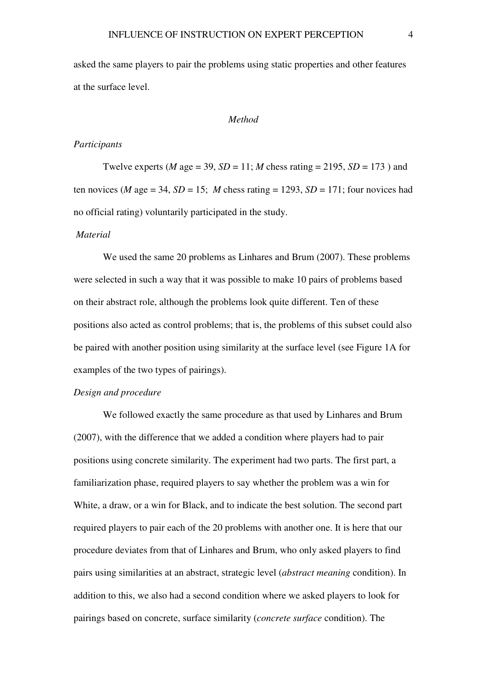asked the same players to pair the problems using static properties and other features at the surface level.

#### *Method*

# *Participants*

Twelve experts (*M* age = 39,  $SD = 11$ ; *M* chess rating = 2195,  $SD = 173$ ) and ten novices (*M* age = 34, *SD* = 15; *M* chess rating = 1293, *SD* = 171; four novices had no official rating) voluntarily participated in the study.

#### *Material*

We used the same 20 problems as Linhares and Brum (2007). These problems were selected in such a way that it was possible to make 10 pairs of problems based on their abstract role, although the problems look quite different. Ten of these positions also acted as control problems; that is, the problems of this subset could also be paired with another position using similarity at the surface level (see Figure 1A for examples of the two types of pairings).

# *Design and procedure*

 We followed exactly the same procedure as that used by Linhares and Brum (2007), with the difference that we added a condition where players had to pair positions using concrete similarity. The experiment had two parts. The first part, a familiarization phase, required players to say whether the problem was a win for White, a draw, or a win for Black, and to indicate the best solution. The second part required players to pair each of the 20 problems with another one. It is here that our procedure deviates from that of Linhares and Brum, who only asked players to find pairs using similarities at an abstract, strategic level (*abstract meaning* condition). In addition to this, we also had a second condition where we asked players to look for pairings based on concrete, surface similarity (*concrete surface* condition). The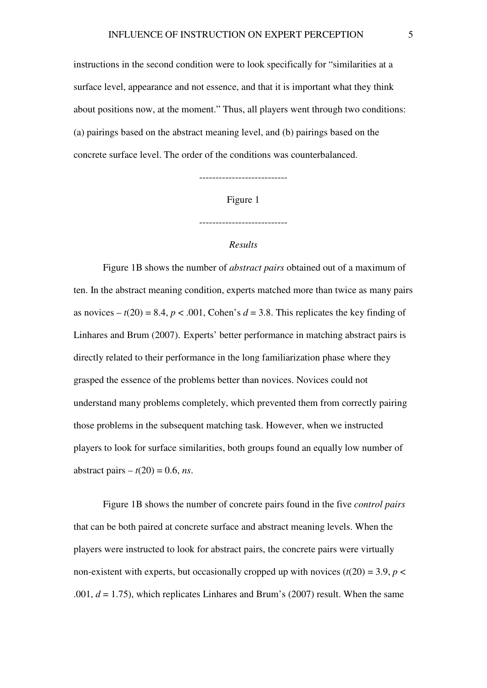instructions in the second condition were to look specifically for "similarities at a surface level, appearance and not essence, and that it is important what they think about positions now, at the moment." Thus, all players went through two conditions: (a) pairings based on the abstract meaning level, and (b) pairings based on the concrete surface level. The order of the conditions was counterbalanced.

---------------------------

Figure 1

---------------------------

# *Results*

 Figure 1B shows the number of *abstract pairs* obtained out of a maximum of ten. In the abstract meaning condition, experts matched more than twice as many pairs as novices  $-t(20) = 8.4$ ,  $p < .001$ , Cohen's  $d = 3.8$ . This replicates the key finding of Linhares and Brum (2007). Experts' better performance in matching abstract pairs is directly related to their performance in the long familiarization phase where they grasped the essence of the problems better than novices. Novices could not understand many problems completely, which prevented them from correctly pairing those problems in the subsequent matching task. However, when we instructed players to look for surface similarities, both groups found an equally low number of abstract pairs  $- t(20) = 0.6$ , *ns*.

 Figure 1B shows the number of concrete pairs found in the five *control pairs* that can be both paired at concrete surface and abstract meaning levels. When the players were instructed to look for abstract pairs, the concrete pairs were virtually non-existent with experts, but occasionally cropped up with novices  $(t(20) = 3.9, p <$ .001, *d* = 1.75), which replicates Linhares and Brum's (2007) result. When the same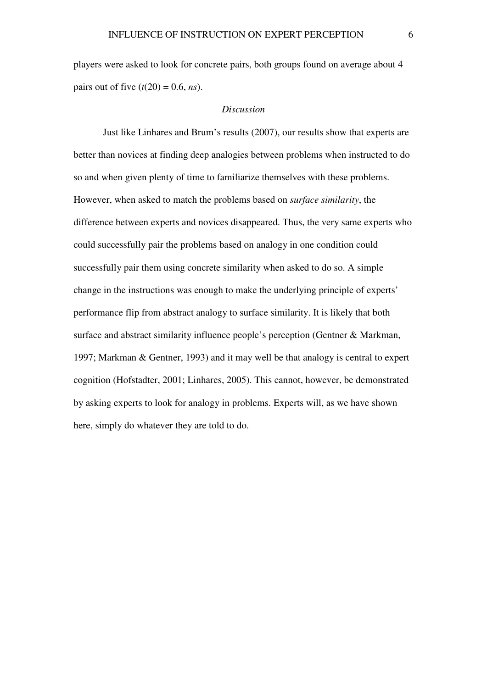players were asked to look for concrete pairs, both groups found on average about 4 pairs out of five  $(t(20) = 0.6, ns)$ .

#### *Discussion*

 Just like Linhares and Brum's results (2007), our results show that experts are better than novices at finding deep analogies between problems when instructed to do so and when given plenty of time to familiarize themselves with these problems. However, when asked to match the problems based on *surface similarity*, the difference between experts and novices disappeared. Thus, the very same experts who could successfully pair the problems based on analogy in one condition could successfully pair them using concrete similarity when asked to do so. A simple change in the instructions was enough to make the underlying principle of experts' performance flip from abstract analogy to surface similarity. It is likely that both surface and abstract similarity influence people's perception (Gentner & Markman, 1997; Markman & Gentner, 1993) and it may well be that analogy is central to expert cognition (Hofstadter, 2001; Linhares, 2005). This cannot, however, be demonstrated by asking experts to look for analogy in problems. Experts will, as we have shown here, simply do whatever they are told to do.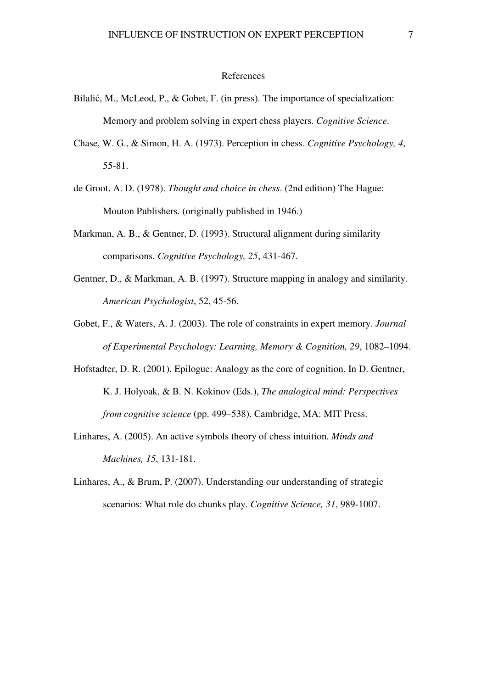# References

- Bilalić, M., McLeod, P., & Gobet, F. (in press). The importance of specialization: Memory and problem solving in expert chess players. *Cognitive Science*.
- Chase, W. G., & Simon, H. A. (1973). Perception in chess. *Cognitive Psychology, 4*, 55-81.
- de Groot, A. D. (1978). *Thought and choice in chess*. (2nd edition) The Hague: Mouton Publishers. (originally published in 1946.)
- Markman, A. B., & Gentner, D. (1993). Structural alignment during similarity comparisons. *Cognitive Psychology, 25*, 431-467.
- Gentner, D., & Markman, A. B. (1997). Structure mapping in analogy and similarity. *American Psychologist*, 52, 45-56.
- Gobet, F., & Waters, A. J. (2003). The role of constraints in expert memory. *Journal of Experimental Psychology: Learning, Memory & Cognition, 29*, 1082–1094.
- Hofstadter, D. R. (2001). Epilogue: Analogy as the core of cognition. In D. Gentner, K. J. Holyoak, & B. N. Kokinov (Eds.), *The analogical mind: Perspectives from cognitive science* (pp. 499–538). Cambridge, MA: MIT Press.
- Linhares, A. (2005). An active symbols theory of chess intuition. *Minds and Machines, 15*, 131-181.
- Linhares, A., & Brum, P. (2007). Understanding our understanding of strategic scenarios: What role do chunks play. *Cognitive Science, 31*, 989-1007.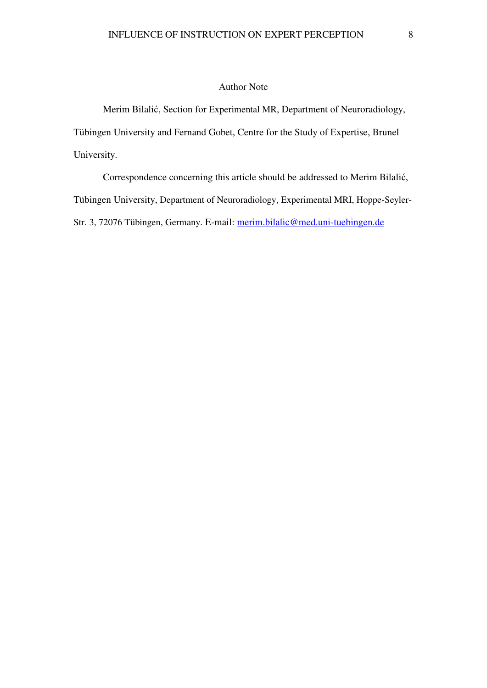# Author Note

 Merim Bilalić, Section for Experimental MR, Department of Neuroradiology, Tübingen University and Fernand Gobet, Centre for the Study of Expertise, Brunel University.

 Correspondence concerning this article should be addressed to Merim Bilalić, Tübingen University, Department of Neuroradiology, Experimental MRI, Hoppe-Seyler-Str. 3, 72076 Tübingen, Germany. E-mail: merim.bilalic@med.uni-tuebingen.de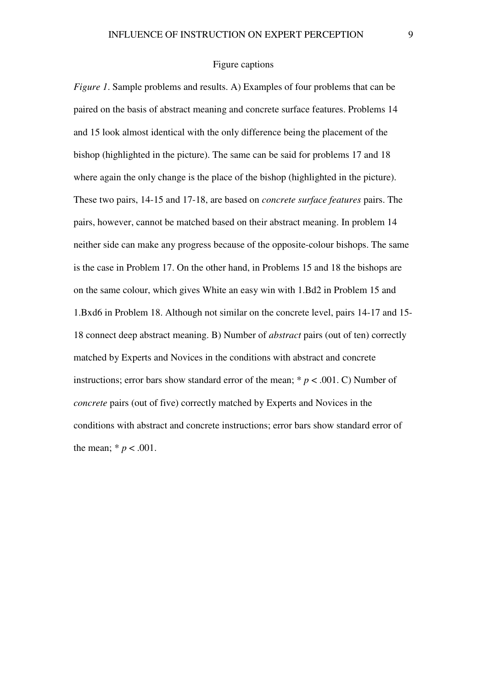#### Figure captions

*Figure 1*. Sample problems and results. A) Examples of four problems that can be paired on the basis of abstract meaning and concrete surface features. Problems 14 and 15 look almost identical with the only difference being the placement of the bishop (highlighted in the picture). The same can be said for problems 17 and 18 where again the only change is the place of the bishop (highlighted in the picture). These two pairs, 14-15 and 17-18, are based on *concrete surface features* pairs. The pairs, however, cannot be matched based on their abstract meaning. In problem 14 neither side can make any progress because of the opposite-colour bishops. The same is the case in Problem 17. On the other hand, in Problems 15 and 18 the bishops are on the same colour, which gives White an easy win with 1.Bd2 in Problem 15 and 1.Bxd6 in Problem 18. Although not similar on the concrete level, pairs 14-17 and 15- 18 connect deep abstract meaning. B) Number of *abstract* pairs (out of ten) correctly matched by Experts and Novices in the conditions with abstract and concrete instructions; error bars show standard error of the mean;  $* p < .001$ . C) Number of *concrete* pairs (out of five) correctly matched by Experts and Novices in the conditions with abstract and concrete instructions; error bars show standard error of the mean;  $* p < .001$ .